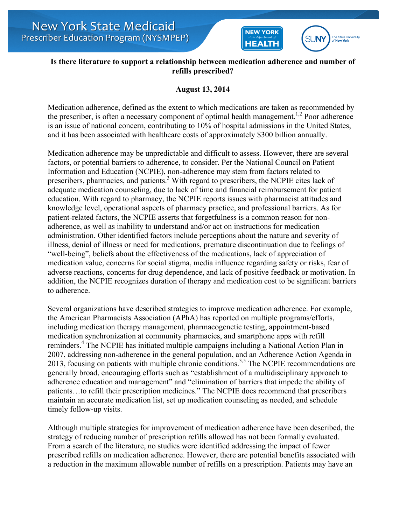



## **Is there literature to support a relationship between medication adherence and number of refills prescribed?**

## **August 13, 2014**

Medication adherence, defined as the extent to which medications are taken as recommended by the prescriber, is often a necessary component of optimal health management.<sup>1,2</sup> Poor adherence is an issue of national concern, contributing to 10% of hospital admissions in the United States, and it has been associated with healthcare costs of approximately \$300 billion annually.

Medication adherence may be unpredictable and difficult to assess. However, there are several factors, or potential barriers to adherence, to consider. Per the National Council on Patient Information and Education (NCPIE), non-adherence may stem from factors related to prescribers, pharmacies, and patients.<sup>3</sup> With regard to prescribers, the NCPIE cites lack of adequate medication counseling, due to lack of time and financial reimbursement for patient education. With regard to pharmacy, the NCPIE reports issues with pharmacist attitudes and knowledge level, operational aspects of pharmacy practice, and professional barriers. As for patient-related factors, the NCPIE asserts that forgetfulness is a common reason for nonadherence, as well as inability to understand and/or act on instructions for medication administration. Other identified factors include perceptions about the nature and severity of illness, denial of illness or need for medications, premature discontinuation due to feelings of "well-being", beliefs about the effectiveness of the medications, lack of appreciation of medication value, concerns for social stigma, media influence regarding safety or risks, fear of adverse reactions, concerns for drug dependence, and lack of positive feedback or motivation. In addition, the NCPIE recognizes duration of therapy and medication cost to be significant barriers to adherence.

Several organizations have described strategies to improve medication adherence. For example, the American Pharmacists Association (APhA) has reported on multiple programs/efforts, including medication therapy management, pharmacogenetic testing, appointment-based medication synchronization at community pharmacies, and smartphone apps with refill reminders.<sup>4</sup> The NCPIE has initiated multiple campaigns including a National Action Plan in 2007, addressing non-adherence in the general population, and an Adherence Action Agenda in 2013, focusing on patients with multiple chronic conditions.<sup>3,5</sup> The NCPIE recommendations are generally broad, encouraging efforts such as "establishment of a multidisciplinary approach to adherence education and management" and "elimination of barriers that impede the ability of patients…to refill their prescription medicines." The NCPIE does recommend that prescribers maintain an accurate medication list, set up medication counseling as needed, and schedule timely follow-up visits.

Although multiple strategies for improvement of medication adherence have been described, the strategy of reducing number of prescription refills allowed has not been formally evaluated. From a search of the literature, no studies were identified addressing the impact of fewer prescribed refills on medication adherence. However, there are potential benefits associated with a reduction in the maximum allowable number of refills on a prescription. Patients may have an